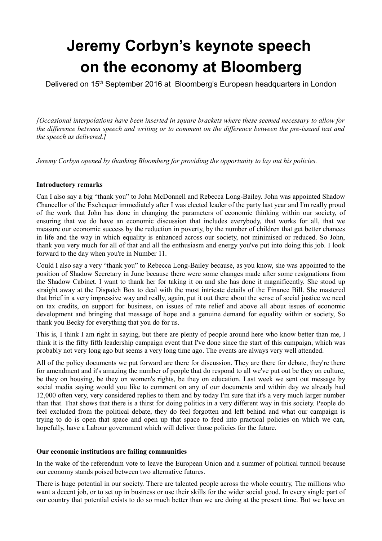# **Jeremy Corbyn's keynote speech on the economy at Bloomberg**

Delivered on 15<sup>th</sup> September 2016 at Bloomberg's European headquarters in London

*[Occasional interpolations have been inserted in square brackets where these seemed necessary to allow for the difference between speech and writing or to comment on the difference between the pre-issued text and the speech as delivered.]*

*Jeremy Corbyn opened by thanking Bloomberg for providing the opportunity to lay out his policies.*

## **Introductory remarks**

Can I also say a big "thank you" to John McDonnell and Rebecca Long-Bailey. John was appointed Shadow Chancellor of the Exchequer immediately after I was elected leader of the party last year and I'm really proud of the work that John has done in changing the parameters of economic thinking within our society, of ensuring that we do have an economic discussion that includes everybody, that works for all, that we measure our economic success by the reduction in poverty, by the number of children that get better chances in life and the way in which equality is enhanced across our society, not minimised or reduced. So John, thank you very much for all of that and all the enthusiasm and energy you've put into doing this job. I look forward to the day when you're in Number 11.

Could I also say a very "thank you" to Rebecca Long-Bailey because, as you know, she was appointed to the position of Shadow Secretary in June because there were some changes made after some resignations from the Shadow Cabinet. I want to thank her for taking it on and she has done it magnificently. She stood up straight away at the Dispatch Box to deal with the most intricate details of the Finance Bill. She mastered that brief in a very impressive way and really, again, put it out there about the sense of social justice we need on tax credits, on support for business, on issues of rate relief and above all about issues of economic development and bringing that message of hope and a genuine demand for equality within or society. So thank you Becky for everything that you do for us.

This is, I think I am right in saying, but there are plenty of people around here who know better than me, I think it is the fifty fifth leadership campaign event that I've done since the start of this campaign, which was probably not very long ago but seems a very long time ago. The events are always very well attended.

All of the policy documents we put forward are there for discussion. They are there for debate, they're there for amendment and it's amazing the number of people that do respond to all we've put out be they on culture, be they on housing, be they on women's rights, be they on education. Last week we sent out message by social media saying would you like to comment on any of our documents and within day we already had 12,000 often very, very considered replies to them and by today I'm sure that it's a very much larger number than that. That shows that there is a thirst for doing politics in a very different way in this society. People do feel excluded from the political debate, they do feel forgotten and left behind and what our campaign is trying to do is open that space and open up that space to feed into practical policies on which we can, hopefully, have a Labour government which will deliver those policies for the future.

#### **Our economic institutions are failing communities**

In the wake of the referendum vote to leave the European Union and a summer of political turmoil because our economy stands poised between two alternative futures.

There is huge potential in our society. There are talented people across the whole country, The millions who want a decent job, or to set up in business or use their skills for the wider social good. In every single part of our country that potential exists to do so much better than we are doing at the present time. But we have an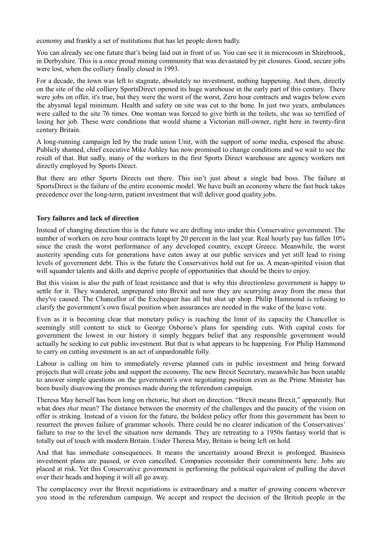economy and frankly a set of institutions that has let people down badly.

You can already see one future that's being laid out in front of us. You can see it in microcosm in Shirebrook, in Derbyshire. This is a once proud mining community that was devastated by pit closures. Good, secure jobs were lost, when the colliery finally closed in 1993.

For a decade, the town was left to stagnate, absolutely no investment, nothing happening. And then, directly on the site of the old colliery SportsDirect opened its huge warehouse in the early part of this century. There were jobs on offer, it's true, but they were the worst of the worst, Zero hour contracts and wages below even the abysmal legal minimum. Health and safety on site was cut to the bone. In just two years, ambulances were called to the site 76 times. One woman was forced to give birth in the toilets, she was so terrified of losing her job. These were conditions that would shame a Victorian mill-owner, right here in twenty-first century Britain.

A long-running campaign led by the trade union Unit, with the support of some media, exposed the abuse. Publicly shamed, chief executive Mike Ashley has now promised to change conditions and we wait to see the result of that. But sadly, many of the workers in the first Sports Direct warehouse are agency workers not directly employed by Sports Direct.

But there are other Sports Directs out there. This isn't just about a single bad boss. The failure at SportsDirect is the failure of the entire economic model. We have built an economy where the fast buck takes precedence over the long-term, patient investment that will deliver good quality jobs.

## **Tory failures and lack of direction**

Instead of changing direction this is the future we are drifting into under this Conservative government. The number of workers on zero hour contracts leapt by 20 percent in the last year. Real hourly pay has fallen 10% since the crash the worst performance of any developed country, except Greece. Meanwhile, the worst austerity spending cuts for generations have eaten away at our public services and yet still lead to rising levels of government debt. This is the future the Conservatives hold out for us. A mean-spirited vision that will squander talents and skills and deprive people of opportunities that should be theirs to enjoy.

But this vision is also the path of least resistance and that is why this directionless government is happy to settle for it. They wandered, unprepared into Brexit and now they are scurrying away from the mess that they've caused. The Chancellor of the Exchequer has all but shut up shop. Philip Hammond is refusing to clarify the government's own fiscal position when assurances are needed in the wake of the leave vote.

Even as it is becoming clear that monetary policy is reaching the limit of its capacity the Chancellor is seemingly still content to stick to George Osborne's plans for spending cuts. With capital costs for government the lowest in our history it simply beggars belief that any responsible government would actually be seeking to cut public investment. But that is what appears to be happening. For Philip Hammond to carry on cutting investment is an act of unpardonable folly.

Labour is calling on him to immediately reverse planned cuts in public investment and bring forward projects that will create jobs and support the economy. The new Brexit Secretary, meanwhile has been unable to answer simple questions on the government's own negotiating position even as the Prime Minister has been busily disavowing the promises made during the referendum campaign.

Theresa May herself has been long on rhetoric, but short on direction. "Brexit means Brexit," apparently. But what does *that* mean? The distance between the enormity of the challenges and the paucity of the vision on offer is striking. Instead of a vision for the future, the boldest policy offer from this government has been to resurrect the proven failure of grammar schools. There could be no clearer indication of the Conservatives' failure to rise to the level the situation now demands. They are retreating to a 1950s fantasy world that is totally out of touch with modern Britain. Under Theresa May, Britain is being left on hold.

And that has immediate consequences. It means the uncertainty around Brexit is prolonged. Business investment plans are paused, or even cancelled. Companies reconsider their commitments here. Jobs are placed at risk. Yet this Conservative government is performing the political equivalent of pulling the duvet over their heads and hoping it will all go away.

The complacency over the Brexit negotiations is extraordinary and a matter of growing concern wherever you stood in the referendum campaign. We accept and respect the decision of the British people in the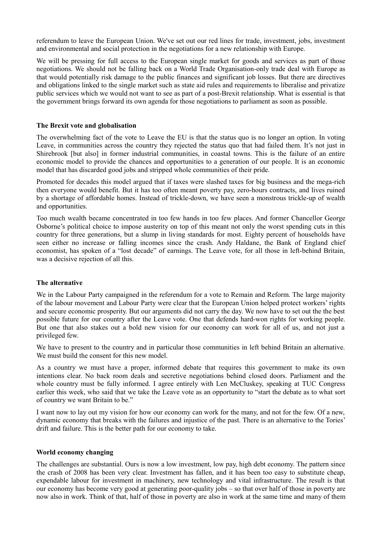referendum to leave the European Union. We've set out our red lines for trade, investment, jobs, investment and environmental and social protection in the negotiations for a new relationship with Europe.

We will be pressing for full access to the European single market for goods and services as part of those negotiations. We should not be falling back on a World Trade Organisation-only trade deal with Europe as that would potentially risk damage to the public finances and significant job losses. But there are directives and obligations linked to the single market such as state aid rules and requirements to liberalise and privatize public services which we would not want to see as part of a post-Brexit relationship. What is essential is that the government brings forward its own agenda for those negotiations to parliament as soon as possible.

#### **The Brexit vote and globalisation**

The overwhelming fact of the vote to Leave the EU is that the status quo is no longer an option. In voting Leave, in communities across the country they rejected the status quo that had failed them. It's not just in Shirebrook [but also] in former industrial communities, in coastal towns. This is the failure of an entire economic model to provide the chances and opportunities to a generation of our people. It is an economic model that has discarded good jobs and stripped whole communities of their pride.

Promoted for decades this model argued that if taxes were slashed taxes for big business and the mega-rich then everyone would benefit. But it has too often meant poverty pay, zero-hours contracts, and lives ruined by a shortage of affordable homes. Instead of trickle-down, we have seen a monstrous trickle-up of wealth and opportunities.

Too much wealth became concentrated in too few hands in too few places. And former Chancellor George Osborne's political choice to impose austerity on top of this meant not only the worst spending cuts in this country for three generations, but a slump in living standards for most. Eighty percent of households have seen either no increase or falling incomes since the crash. Andy Haldane, the Bank of England chief economist, has spoken of a "lost decade" of earnings. The Leave vote, for all those in left-behind Britain, was a decisive rejection of all this.

#### **The alternative**

We in the Labour Party campaigned in the referendum for a vote to Remain and Reform. The large majority of the labour movement and Labour Party were clear that the European Union helped protect workers' rights and secure economic prosperity. But our arguments did not carry the day. We now have to set out the the best possible future for our country after the Leave vote. One that defends hard-won rights for working people. But one that also stakes out a bold new vision for our economy can work for all of us, and not just a privileged few.

We have to present to the country and in particular those communities in left behind Britain an alternative. We must build the consent for this new model.

As a country we must have a proper, informed debate that requires this government to make its own intentions clear. No back room deals and secretive negotiations behind closed doors. Parliament and the whole country must be fully informed. I agree entirely with Len McCluskey, speaking at TUC Congress earlier this week, who said that we take the Leave vote as an opportunity to "start the debate as to what sort of country we want Britain to be."

I want now to lay out my vision for how our economy can work for the many, and not for the few. Of a new, dynamic economy that breaks with the failures and injustice of the past. There is an alternative to the Tories' drift and failure. This is the better path for our economy to take.

#### **World economy changing**

The challenges are substantial. Ours is now a low investment, low pay, high debt economy. The pattern since the crash of 2008 has been very clear. Investment has fallen, and it has been too easy to substitute cheap, expendable labour for investment in machinery, new technology and vital infrastructure. The result is that our economy has become very good at generating poor-quality jobs – so that over half of those in poverty are now also in work. Think of that, half of those in poverty are also in work at the same time and many of them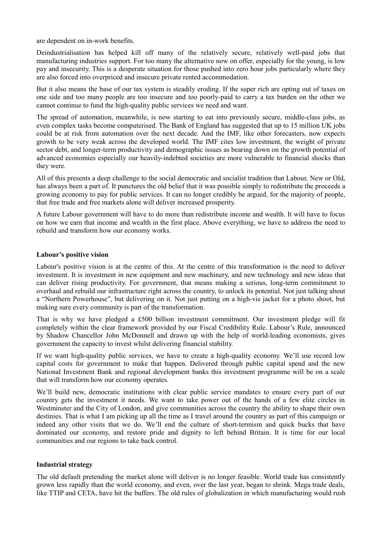are dependent on in-work benefits.

Deindustrialisation has helped kill off many of the relatively secure, relatively well-paid jobs that manufacturing industries support. For too many the alternative now on offer, especially for the young, is low pay and insecurity. This is a desperate situation for those pushed into zero hour jobs particularly where they are also forced into overpriced and insecure private rented accommodation.

But it also means the base of our tax system is steadily eroding. If the super rich are opting out of taxes on one side and too many people are too insecure and too poorly-paid to carry a tax burden on the other we cannot continue to fund the high-quality public services we need and want.

The spread of automation, meanwhile, is now starting to eat into previously secure, middle-class jobs, as even complex tasks become computerised. The Bank of England has suggested that up to 15 million UK jobs could be at risk from automation over the next decade. And the IMF, like other forecasters, now expects growth to be very weak across the developed world. The IMF cites low investment, the weight of private sector debt, and longer-term productivity and demographic issues as bearing down on the growth potential of advanced economies especially our heavily-indebted societies are more vulnerable to financial shocks than they were.

All of this presents a deep challenge to the social democratic and socialist tradition that Labour, New or Old, has always been a part of. It punctures the old belief that it was possible simply to redistribute the proceeds a growing economy to pay for public services. It can no longer credibly be argued, for the majority of people, that free trade and free markets alone will deliver increased prosperity.

A future Labour government will have to do more than redistribute income and wealth. It will have to focus on how we earn that income and wealth in the first place. Above everything, we have to address the need to rebuild and transform how our economy works.

#### **Labour's positive vision**

Labour's positive vision is at the centre of this. At the centre of this transformation is the need to deliver investment. It is investment in new equipment and new machinery, and new technology and new ideas that can deliver rising productivity. For government, that means making a serious, long-term commitment to overhaul and rebuild our infrastructure right across the country, to unlock its potential. Not just talking about a "Northern Powerhouse", but delivering on it. Not just putting on a high-vis jacket for a photo shoot, but making sure every community is part of the transformation.

That is why we have pledged a £500 billion investment commitment. Our investment pledge will fit completely within the clear framework provided by our Fiscal Credibility Rule. Labour's Rule, announced by Shadow Chancellor John McDonnell and drawn up with the help of world-leading economists, gives government the capacity to invest whilst delivering financial stability.

If we want high-quality public services, we have to create a high-quality economy. We'll use record low capital costs for government to make that happen. Delivered through public capital spend and the new National Investment Bank and regional development banks this investment programme will be on a scale that will transform how our economy operates.

We'll build new, democratic institutions with clear public service mandates to ensure every part of our country gets the investment it needs. We want to take power out of the hands of a few elite circles in Westminster and the City of London, and give communities across the country the ability to shape their own destinies. That is what I am picking up all the time as I travel around the country as part of this campaign or indeed any other visits that we do. We'll end the culture of short-termism and quick bucks that have dominated our economy, and restore pride and dignity to left behind Britain. It is time for our local communities and our regions to take back control.

#### **Industrial strategy**

The old default pretending the market alone will deliver is no longer feasible. World trade has consistently grown less rapidly than the world economy, and even, over the last year, began to shrink. Mega trade deals, like TTIP and CETA, have hit the buffers. The old rules of globalization in which manufacturing would rush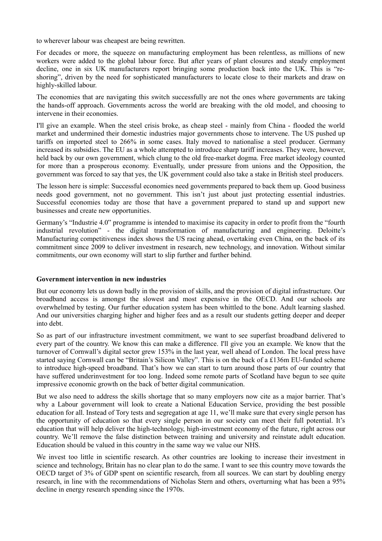to wherever labour was cheapest are being rewritten.

For decades or more, the squeeze on manufacturing employment has been relentless, as millions of new workers were added to the global labour force. But after years of plant closures and steady employment decline, one in six UK manufacturers report bringing some production back into the UK. This is "reshoring", driven by the need for sophisticated manufacturers to locate close to their markets and draw on highly-skilled labour.

The economies that are navigating this switch successfully are not the ones where governments are taking the hands-off approach. Governments across the world are breaking with the old model, and choosing to intervene in their economies.

I'll give an example. When the steel crisis broke, as cheap steel - mainly from China - flooded the world market and undermined their domestic industries major governments chose to intervene. The US pushed up tariffs on imported steel to 266% in some cases. Italy moved to nationalise a steel producer. Germany increased its subsidies. The EU as a whole attempted to introduce sharp tariff increases. They were, however, held back by our own government, which clung to the old free-market dogma. Free market ideology counted for more than a prosperous economy. Eventually, under pressure from unions and the Opposition, the government was forced to say that yes, the UK government could also take a stake in British steel producers.

The lesson here is simple: Successful economies need governments prepared to back them up. Good business needs good government, not no government. This isn't just about just protecting essential industries. Successful economies today are those that have a government prepared to stand up and support new businesses and create new opportunities.

Germany's "Industrie 4.0" programme is intended to maximise its capacity in order to profit from the "fourth industrial revolution" - the digital transformation of manufacturing and engineering. Deloitte's Manufacturing competitiveness index shows the US racing ahead, overtaking even China, on the back of its commitment since 2009 to deliver investment in research, new technology, and innovation. Without similar commitments, our own economy will start to slip further and further behind.

#### **Government intervention in new industries**

But our economy lets us down badly in the provision of skills, and the provision of digital infrastructure. Our broadband access is amongst the slowest and most expensive in the OECD. And our schools are overwhelmed by testing. Our further education system has been whittled to the bone. Adult learning slashed. And our universities charging higher and higher fees and as a result our students getting deeper and deeper into debt.

So as part of our infrastructure investment commitment, we want to see superfast broadband delivered to every part of the country. We know this can make a difference. I'll give you an example. We know that the turnover of Cornwall's digital sector grew 153% in the last year, well ahead of London. The local press have started saying Cornwall can be "Britain's Silicon Valley". This is on the back of a £136m EU-funded scheme to introduce high-speed broadband. That's how we can start to turn around those parts of our country that have suffered underinvestment for too long. Indeed some remote parts of Scotland have begun to see quite impressive economic growth on the back of better digital communication.

But we also need to address the skills shortage that so many employers now cite as a major barrier. That's why a Labour government will look to create a National Education Service, providing the best possible education for all. Instead of Tory tests and segregation at age 11, we'll make sure that every single person has the opportunity of education so that every single person in our society can meet their full potential. It's education that will help deliver the high-technology, high-investment economy of the future, right across our country. We'll remove the false distinction between training and university and reinstate adult education. Education should be valued in this country in the same way we value our NHS.

We invest too little in scientific research. As other countries are looking to increase their investment in science and technology, Britain has no clear plan to do the same. I want to see this country move towards the OECD target of 3% of GDP spent on scientific research, from all sources. We can start by doubling energy research, in line with the recommendations of Nicholas Stern and others, overturning what has been a 95% decline in energy research spending since the 1970s.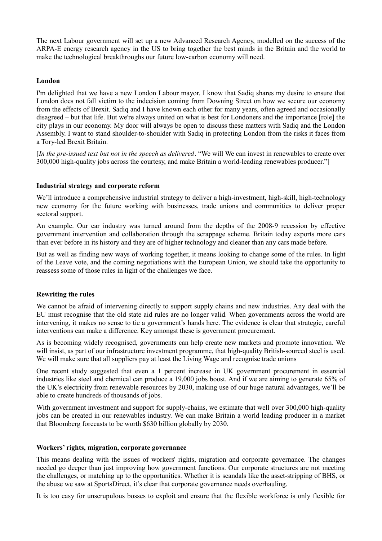The next Labour government will set up a new Advanced Research Agency, modelled on the success of the ARPA-E energy research agency in the US to bring together the best minds in the Britain and the world to make the technological breakthroughs our future low-carbon economy will need.

## **London**

I'm delighted that we have a new London Labour mayor. I know that Sadiq shares my desire to ensure that London does not fall victim to the indecision coming from Downing Street on how we secure our economy from the effects of Brexit. Sadiq and I have known each other for many years, often agreed and occasionally disagreed – but that life. But we're always united on what is best for Londoners and the importance [role] the city plays in our economy. My door will always be open to discuss these matters with Sadiq and the London Assembly. I want to stand shoulder-to-shoulder with Sadiq in protecting London from the risks it faces from a Tory-led Brexit Britain.

[*In the pre-issued text but not in the speech as delivered*. "We will We can invest in renewables to create over 300,000 high-quality jobs across the courtesy, and make Britain a world-leading renewables producer."]

## **Industrial strategy and corporate reform**

We'll introduce a comprehensive industrial strategy to deliver a high-investment, high-skill, high-technology new economy for the future working with businesses, trade unions and communities to deliver proper sectoral support.

An example. Our car industry was turned around from the depths of the 2008-9 recession by effective government intervention and collaboration through the scrappage scheme. Britain today exports more cars than ever before in its history and they are of higher technology and cleaner than any cars made before.

But as well as finding new ways of working together, it means looking to change some of the rules. In light of the Leave vote, and the coming negotiations with the European Union, we should take the opportunity to reassess some of those rules in light of the challenges we face.

## **Rewriting the rules**

We cannot be afraid of intervening directly to support supply chains and new industries. Any deal with the EU must recognise that the old state aid rules are no longer valid. When governments across the world are intervening, it makes no sense to tie a government's hands here. The evidence is clear that strategic, careful interventions can make a difference. Key amongst these is government procurement.

As is becoming widely recognised, governments can help create new markets and promote innovation. We will insist, as part of our infrastructure investment programme, that high-quality British-sourced steel is used. We will make sure that all suppliers pay at least the Living Wage and recognise trade unions

One recent study suggested that even a 1 percent increase in UK government procurement in essential industries like steel and chemical can produce a 19,000 jobs boost. And if we are aiming to generate 65% of the UK's electricity from renewable resources by 2030, making use of our huge natural advantages, we'll be able to create hundreds of thousands of jobs.

With government investment and support for supply-chains, we estimate that well over 300,000 high-quality jobs can be created in our renewables industry. We can make Britain a world leading producer in a market that Bloomberg forecasts to be worth \$630 billion globally by 2030.

### **Workers' rights, migration, corporate governance**

This means dealing with the issues of workers' rights, migration and corporate governance. The changes needed go deeper than just improving how government functions. Our corporate structures are not meeting the challenges, or matching up to the opportunities. Whether it is scandals like the asset-stripping of BHS, or the abuse we saw at SportsDirect, it's clear that corporate governance needs overhauling.

It is too easy for unscrupulous bosses to exploit and ensure that the flexible workforce is only flexible for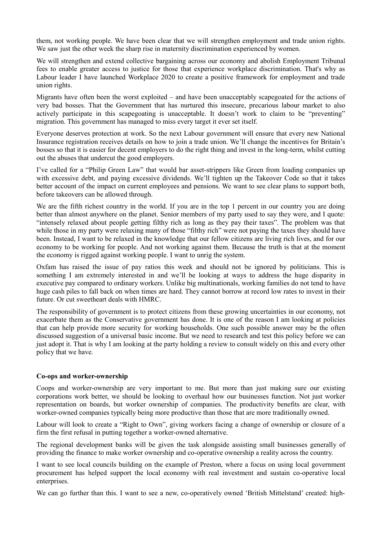them, not working people. We have been clear that we will strengthen employment and trade union rights. We saw just the other week the sharp rise in maternity discrimination experienced by women.

We will strengthen and extend collective bargaining across our economy and abolish Employment Tribunal fees to enable greater access to justice for those that experience workplace discrimination. That's why as Labour leader I have launched Workplace 2020 to create a positive framework for employment and trade union rights.

Migrants have often been the worst exploited – and have been unacceptably scapegoated for the actions of very bad bosses. That the Government that has nurtured this insecure, precarious labour market to also actively participate in this scapegoating is unacceptable. It doesn't work to claim to be "preventing" migration. This government has managed to miss every target it ever set itself.

Everyone deserves protection at work. So the next Labour government will ensure that every new National Insurance registration receives details on how to join a trade union. We'll change the incentives for Britain's bosses so that it is easier for decent employers to do the right thing and invest in the long-term, whilst cutting out the abuses that undercut the good employers.

I've called for a "Philip Green Law" that would bar asset-strippers like Green from loading companies up with excessive debt, and paying excessive dividends. We'll tighten up the Takeover Code so that it takes better account of the impact on current employees and pensions. We want to see clear plans to support both, before takeovers can be allowed through.

We are the fifth richest country in the world. If you are in the top 1 percent in our country you are doing better than almost anywhere on the planet. Senior members of my party used to say they were, and I quote: "intensely relaxed about people getting filthy rich as long as they pay their taxes". The problem was that while those in my party were relaxing many of those "filthy rich" were not paying the taxes they should have been. Instead, I want to be relaxed in the knowledge that our fellow citizens are living rich lives, and for our economy to be working for people. And not working against them. Because the truth is that at the moment the economy is rigged against working people. I want to unrig the system.

Oxfam has raised the issue of pay ratios this week and should not be ignored by politicians. This is something I am extremely interested in and we'll be looking at ways to address the huge disparity in executive pay compared to ordinary workers. Unlike big multinationals, working families do not tend to have huge cash piles to fall back on when times are hard. They cannot borrow at record low rates to invest in their future. Or cut sweetheart deals with HMRC.

The responsibility of government is to protect citizens from these growing uncertainties in our economy, not exacerbate them as the Conservative government has done. It is one of the reason I am looking at policies that can help provide more security for working households. One such possible answer may be the often discussed suggestion of a universal basic income. But we need to research and test this policy before we can just adopt it. That is why I am looking at the party holding a review to consult widely on this and every other policy that we have.

#### **Co-ops and worker-ownership**

Coops and worker-ownership are very important to me. But more than just making sure our existing corporations work better, we should be looking to overhaul how our businesses function. Not just worker representation on boards, but worker ownership of companies. The productivity benefits are clear, with worker-owned companies typically being more productive than those that are more traditionally owned.

Labour will look to create a "Right to Own", giving workers facing a change of ownership or closure of a firm the first refusal in putting together a worker-owned alternative.

The regional development banks will be given the task alongside assisting small businesses generally of providing the finance to make worker ownership and co-operative ownership a reality across the country.

I want to see local councils building on the example of Preston, where a focus on using local government procurement has helped support the local economy with real investment and sustain co-operative local enterprises.

We can go further than this. I want to see a new, co-operatively owned 'British Mittelstand' created: high-